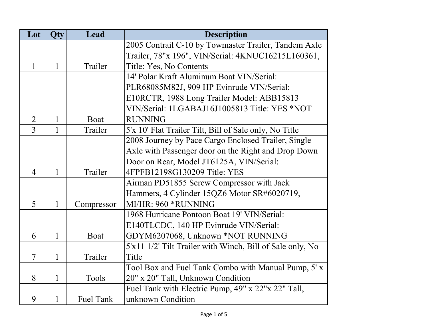| Lot            | <b>Qty</b>   | Lead             | <b>Description</b>                                        |
|----------------|--------------|------------------|-----------------------------------------------------------|
|                |              |                  | 2005 Contrail C-10 by Towmaster Trailer, Tandem Axle      |
|                |              |                  | Trailer, 78"x 196", VIN/Serial: 4KNUC16215L160361,        |
| 1              | $\mathbf{1}$ | Trailer          | Title: Yes, No Contents                                   |
|                |              |                  | 14' Polar Kraft Aluminum Boat VIN/Serial:                 |
|                |              |                  | PLR68085M82J, 909 HP Evinrude VIN/Serial:                 |
|                |              |                  | E10RCTR, 1988 Long Trailer Model: ABB15813                |
|                |              |                  | VIN/Serial: 1LGABAJ16J1005813 Title: YES *NOT             |
| $\overline{2}$ | 1            | Boat             | <b>RUNNING</b>                                            |
| 3              | 1            | Trailer          | 5'x 10' Flat Trailer Tilt, Bill of Sale only, No Title    |
|                |              |                  | 2008 Journey by Pace Cargo Enclosed Trailer, Single       |
|                |              |                  | Axle with Passenger door on the Right and Drop Down       |
|                |              |                  | Door on Rear, Model JT6125A, VIN/Serial:                  |
| $\overline{4}$ | $\mathbf{1}$ | Trailer          | 4FPFB12198G130209 Title: YES                              |
|                |              |                  | Airman PD51855 Screw Compressor with Jack                 |
|                |              |                  | Hammers, 4 Cylinder 15QZ6 Motor SR#6020719,               |
| 5              | 1            | Compressor       | MI/HR: 960 *RUNNING                                       |
|                |              |                  | 1968 Hurricane Pontoon Boat 19' VIN/Serial:               |
|                |              |                  | E140TLCDC, 140 HP Evinrude VIN/Serial:                    |
| 6              | $\mathbf{1}$ | Boat             | GDYM6207068, Unknown *NOT RUNNING                         |
|                |              |                  | 5'x11 1/2' Tilt Trailer with Winch, Bill of Sale only, No |
| $\overline{7}$ | 1            | Trailer          | Title                                                     |
|                |              |                  | Tool Box and Fuel Tank Combo with Manual Pump, 5' x       |
| 8              | 1            | Tools            | 20" x 20" Tall, Unknown Condition                         |
|                |              |                  | Fuel Tank with Electric Pump, 49" x 22"x 22" Tall,        |
| 9              | 1            | <b>Fuel Tank</b> | unknown Condition                                         |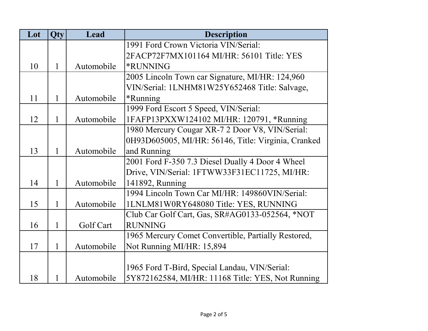| Lot | Qty          | Lead       | <b>Description</b>                                  |
|-----|--------------|------------|-----------------------------------------------------|
|     |              |            | 1991 Ford Crown Victoria VIN/Serial:                |
|     |              |            | 2FACP72F7MX101164 MI/HR: 56101 Title: YES           |
| 10  | 1            | Automobile | <b>*RUNNING</b>                                     |
|     |              |            | 2005 Lincoln Town car Signature, MI/HR: 124,960     |
|     |              |            | VIN/Serial: 1LNHM81W25Y652468 Title: Salvage,       |
| 11  | 1            | Automobile | <i><b>*Running</b></i>                              |
|     |              |            | 1999 Ford Escort 5 Speed, VIN/Serial:               |
| 12  | $\mathbf{1}$ | Automobile | 1FAFP13PXXW124102 MI/HR: 120791, *Running           |
|     |              |            | 1980 Mercury Cougar XR-7 2 Door V8, VIN/Serial:     |
|     |              |            | 0H93D605005, MI/HR: 56146, Title: Virginia, Cranked |
| 13  | 1            | Automobile | and Running                                         |
|     |              |            | 2001 Ford F-350 7.3 Diesel Dually 4 Door 4 Wheel    |
|     |              |            | Drive, VIN/Serial: 1FTWW33F31EC11725, MI/HR:        |
| 14  | 1            | Automobile | 141892, Running                                     |
|     |              |            | 1994 Lincoln Town Car MI/HR: 149860VIN/Serial:      |
| 15  | 1            | Automobile | 1LNLM81W0RY648080 Title: YES, RUNNING               |
|     |              |            | Club Car Golf Cart, Gas, SR#AG0133-052564, *NOT     |
| 16  | 1            | Golf Cart  | <b>RUNNING</b>                                      |
|     |              |            | 1965 Mercury Comet Convertible, Partially Restored, |
| 17  | 1            | Automobile | Not Running MI/HR: 15,894                           |
|     |              |            |                                                     |
|     |              |            | 1965 Ford T-Bird, Special Landau, VIN/Serial:       |
| 18  | 1            | Automobile | 5Y872162584, MI/HR: 11168 Title: YES, Not Running   |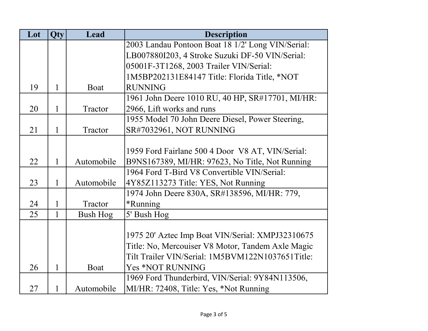| Lot | Qty          | Lead            | <b>Description</b>                                |
|-----|--------------|-----------------|---------------------------------------------------|
|     |              |                 | 2003 Landau Pontoon Boat 18 1/2' Long VIN/Serial: |
|     |              |                 | LB007880I203, 4 Stroke Suzuki DF-50 VIN/Serial:   |
|     |              |                 | 05001F-3T1268, 2003 Trailer VIN/Serial:           |
|     |              |                 | 1M5BP202131E84147 Title: Florida Title, *NOT      |
| 19  | 1            | Boat            | <b>RUNNING</b>                                    |
|     |              |                 | 1961 John Deere 1010 RU, 40 HP, SR#17701, MI/HR:  |
| 20  | $\mathbf{1}$ | Tractor         | 2966, Lift works and runs                         |
|     |              |                 | 1955 Model 70 John Deere Diesel, Power Steering,  |
| 21  | $\mathbf{1}$ | Tractor         | SR#7032961, NOT RUNNING                           |
|     |              |                 |                                                   |
|     |              |                 | 1959 Ford Fairlane 500 4 Door V8 AT, VIN/Serial:  |
| 22  | $\mathbf{1}$ | Automobile      | B9NS167389, MI/HR: 97623, No Title, Not Running   |
|     |              |                 | 1964 Ford T-Bird V8 Convertible VIN/Serial:       |
| 23  | $\mathbf{1}$ | Automobile      | 4Y85Z113273 Title: YES, Not Running               |
|     |              |                 | 1974 John Deere 830A, SR#138596, MI/HR: 779,      |
| 24  | $\mathbf{1}$ | Tractor         | *Running                                          |
| 25  | $\mathbf{1}$ | <b>Bush Hog</b> | 5' Bush Hog                                       |
|     |              |                 |                                                   |
|     |              |                 | 1975 20' Aztec Imp Boat VIN/Serial: XMPJ32310675  |
|     |              |                 | Title: No, Mercouiser V8 Motor, Tandem Axle Magic |
|     |              |                 | Tilt Trailer VIN/Serial: 1M5BVM122N1037651Title:  |
| 26  | 1            | Boat            | Yes *NOT RUNNING                                  |
|     |              |                 | 1969 Ford Thunderbird, VIN/Serial: 9Y84N113506,   |
| 27  | 1            | Automobile      | MI/HR: 72408, Title: Yes, *Not Running            |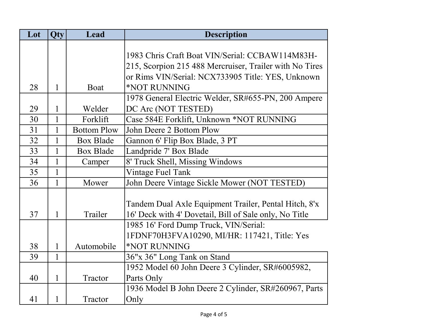| Lot | Qty          | Lead               | <b>Description</b>                                      |
|-----|--------------|--------------------|---------------------------------------------------------|
|     |              |                    |                                                         |
|     |              |                    | 1983 Chris Craft Boat VIN/Serial: CCBAW114M83H-         |
|     |              |                    | 215, Scorpion 215 488 Mercruiser, Trailer with No Tires |
|     |              |                    | or Rims VIN/Serial: NCX733905 Title: YES, Unknown       |
| 28  | 1            | Boat               | *NOT RUNNING                                            |
|     |              |                    | 1978 General Electric Welder, SR#655-PN, 200 Ampere     |
| 29  | 1            | Welder             | DC Arc (NOT TESTED)                                     |
| 30  | 1            | Forklift           | Case 584E Forklift, Unknown *NOT RUNNING                |
| 31  | 1            | <b>Bottom Plow</b> | John Deere 2 Bottom Plow                                |
| 32  | 1            | <b>Box Blade</b>   | Gannon 6' Flip Box Blade, 3 PT                          |
| 33  | 1            | <b>Box Blade</b>   | Landpride 7' Box Blade                                  |
| 34  | $\mathbf{1}$ | Camper             | 8' Truck Shell, Missing Windows                         |
| 35  | 1            |                    | Vintage Fuel Tank                                       |
| 36  | 1            | Mower              | John Deere Vintage Sickle Mower (NOT TESTED)            |
|     |              |                    |                                                         |
|     |              |                    | Tandem Dual Axle Equipment Trailer, Pental Hitch, 8'x   |
| 37  | 1            | Trailer            | 16' Deck with 4' Dovetail, Bill of Sale only, No Title  |
|     |              |                    | 1985 16' Ford Dump Truck, VIN/Serial:                   |
|     |              |                    | 1FDNF70H3FVA10290, MI/HR: 117421, Title: Yes            |
| 38  | $\mathbf{1}$ | Automobile         | *NOT RUNNING                                            |
| 39  | 1            |                    | 36"x 36" Long Tank on Stand                             |
|     |              |                    | 1952 Model 60 John Deere 3 Cylinder, SR#6005982,        |
| 40  | 1            | Tractor            | Parts Only                                              |
|     |              |                    | 1936 Model B John Deere 2 Cylinder, SR#260967, Parts    |
| 41  | 1            | Tractor            | Only                                                    |